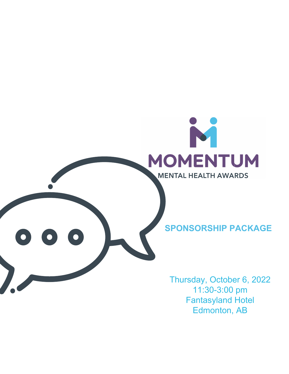

11:30-3:00 pm Fantasyland Hotel Edmonton, AB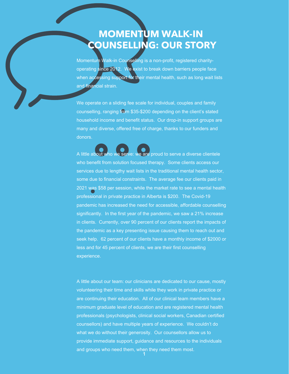# **MOMENTUM WALK-IN COUNSELLING: OUR STORY**

Momentum Walk-in Counselling is a non-profit, registered charityoperating since 2012. We exist to break down barriers people face when accessing support for their mental health, such as long wait lists and financial strain.

We operate on a sliding fee scale for individual, couples and family counselling, ranging from \$35-\$200 depending on the client's stated household income and benefit status. Our drop-in support groups are many and diverse, offered free of charge, thanks to our funders and donors.

A little about who we serve: we are proud to serve a diverse clientele who benefit from solution focused therapy. Some clients access our services due to lengthy wait lists in the traditional mental health sector, some due to financial constraints. The average fee our clients paid in 2021 was \$58 per session, while the market rate to see a mental health professional in private practice in Alberta is \$200. The Covid-19 pandemic has increased the need for accessible, affordable counselling significantly. In the first year of the pandemic, we saw a 21% increase in clients. Currently, over 90 percent of our clients report the impacts of the pandemic as a key presenting issue causing them to reach out and seek help. 62 percent of our clients have a monthly income of \$2000 or less and for 45 percent of clients, we are their first counselling experience.

A little about our team: our clinicians are dedicated to our cause, mostly volunteering their time and skills while they work in private practice or are continuing their education. All of our clinical team members have a minimum graduate level of education and are registered mental health professionals (psychologists, clinical social workers, Canadian certified counsellors) and have multiple years of experience. We couldn't do what we do without their generosity. Our counsellors allow us to provide immediate support, guidance and resources to the individuals and groups who need them, when they need them most.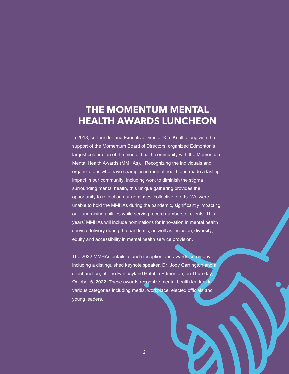### **THE MOMENTUM MENTAL HEALTH AWARDS LUNCHEON**

In 2018, co-founder and Executive Director Kim Knull, along with the support of the Momentum Board of Directors, organized Edmonton's largest celebration of the mental health community with the Momentum Mental Health Awards (MMHAs). Recognizing the individuals and organizations who have championed mental health and made a lasting impact in our community, including work to diminish the stigma surrounding mental health, this unique gathering provides the opportunity to reflect on our nominees' collective efforts. We were unable to hold the MMHAs during the pandemic, significantly impacting our fundraising abilities while serving record numbers of clients. This years' MMHAs will include nominations for innovation in mental health service delivery during the pandemic, as well as inclusion, diversity, equity and accessibility in mental health service provision.

The 2022 MMHAs entails a lunch reception and awards ceremony, including a distinguished keynote speaker, Dr. Jody Carrington and a silent auction, at The Fantasyland Hotel in Edmonton, on Thursday October 6, 2022. These awards recognize mental health leaders in various categories including media, workplace, elected officials and young leaders.

**2**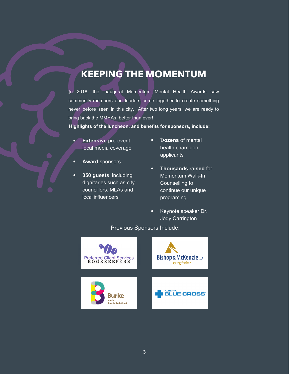# **KEEPING THE MOMENTUM**

In 2018, the inaugural Momentum Mental Health Awards saw community members and leaders come together to create something never before seen in this city. After two long years, we are ready to bring back the MMHAs, better than ever!

**Highlights of the luncheon, and benefits for sponsors, include:**

- **• Extensive** pre-event local media coverage
- **• Award** sponsors
- **• 350 guests**, including dignitaries such as city councillors, MLAs and local influencers
- **• Dozens** of mental health champion applicants
- **• Thousands raised** for Momentum Walk-In Counselling to continue our unique programing.
- **•** Keynote speaker Dr. Jody Carrington

Previous Sponsors Include:

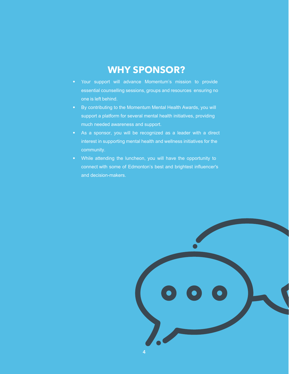#### **WHY SPONSOR?**

- Your support will advance Momentum's mission to provide essential counselling sessions, groups and resources ensuring no one is left behind.
- By contributing to the Momentum Mental Health Awards, you will support a platform for several mental health initiatives, providing much needed awareness and support.
- As a sponsor, you will be recognized as a leader with a direct interest in supporting mental health and wellness initiatives for the community.
- While attending the luncheon, you will have the opportunity to connect with some of Edmonton's best and brightest influencer's and decision-makers.

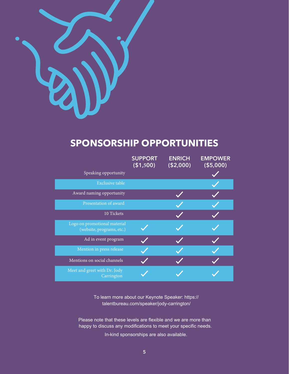

### **SPONSORSHIP OPPORTUNITIES**

|                                                           | <b>SUPPORT</b><br>( \$1,500) | <b>ENRICH</b><br>( \$2,000) | <b>EMPOWER</b><br>( \$5,000) |
|-----------------------------------------------------------|------------------------------|-----------------------------|------------------------------|
| Speaking opportunity                                      |                              |                             |                              |
| <b>Exclusive table</b>                                    |                              |                             |                              |
| Award naming opportunity                                  |                              |                             |                              |
| Presentation of award                                     |                              |                             |                              |
| 10 Tickets                                                |                              |                             |                              |
| Logo on promotional material<br>(website, programs, etc.) |                              |                             |                              |
| Ad in event program                                       |                              |                             |                              |
| Mention in press release                                  |                              |                             |                              |
| Mentions on social channels                               |                              |                             |                              |
| Meet and greet with Dr. Jody<br>Carrington                |                              |                             |                              |

To learn more about our Keynote Speaker: https:// talentbureau.com/speaker/jody-carrington/

Please note that these levels are flexible and we are more than happy to discuss any modifications to meet your specific needs.

In-kind sponsorships are also available.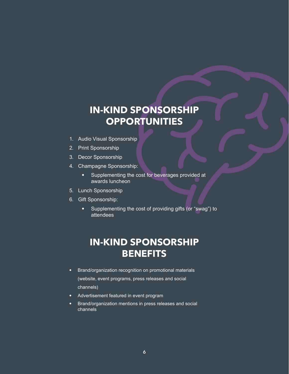# **IN-KIND SPONSORSHIP OPPORTUNITIES**

- 1. Audio Visual Sponsorship
- 2. Print Sponsorship
- 3. Decor Sponsorship
- 4. Champagne Sponsorship:
	- Supplementing the cost for beverages provided at awards luncheon
- 5. Lunch Sponsorship
- 6. Gift Sponsorship:
	- Supplementing the cost of providing gifts (or "swag") to attendees

### **IN-KIND SPONSORSHIP BENEFITS**

- Brand/organization recognition on promotional materials (website, event programs, press releases and social channels)
- Advertisement featured in event program
- Brand/organization mentions in press releases and social channels